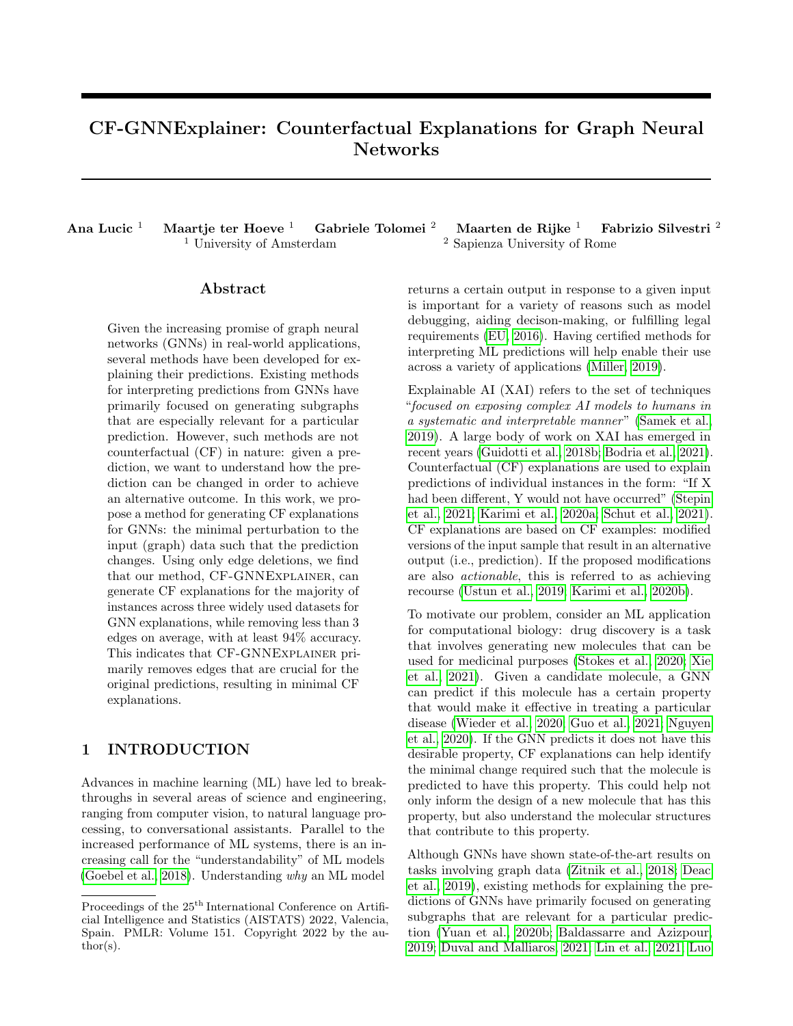# CF-GNNExplainer: Counterfactual Explanations for Graph Neural Networks

Ana Lucic <sup>1</sup> Maartje ter Hoeve <sup>1</sup> Gabriele Tolomei <sup>2</sup> Maarten de Rijke <sup>1</sup> Fabrizio Silvestri <sup>2</sup> <sup>1</sup> University of Amsterdam  $2$  Sapienza University of Rome

## Abstract

Given the increasing promise of graph neural networks (GNNs) in real-world applications, several methods have been developed for explaining their predictions. Existing methods for interpreting predictions from GNNs have primarily focused on generating subgraphs that are especially relevant for a particular prediction. However, such methods are not counterfactual (CF) in nature: given a prediction, we want to understand how the prediction can be changed in order to achieve an alternative outcome. In this work, we propose a method for generating CF explanations for GNNs: the minimal perturbation to the input (graph) data such that the prediction changes. Using only edge deletions, we find that our method, CF-GNNExplainer, can generate CF explanations for the majority of instances across three widely used datasets for GNN explanations, while removing less than 3 edges on average, with at least 94% accuracy. This indicates that CF-GNNExplainer primarily removes edges that are crucial for the original predictions, resulting in minimal CF explanations.

# 1 INTRODUCTION

Advances in machine learning (ML) have led to breakthroughs in several areas of science and engineering, ranging from computer vision, to natural language processing, to conversational assistants. Parallel to the increased performance of ML systems, there is an increasing call for the "understandability" of ML models [\(Goebel et al., 2018\)](#page-9-0). Understanding why an ML model returns a certain output in response to a given input is important for a variety of reasons such as model debugging, aiding decison-making, or fulfilling legal requirements [\(EU, 2016\)](#page-9-1). Having certified methods for interpreting ML predictions will help enable their use across a variety of applications [\(Miller, 2019\)](#page-10-0).

Explainable AI (XAI) refers to the set of techniques "focused on exposing complex AI models to humans in a systematic and interpretable manner" [\(Samek et al.,](#page-10-1) [2019\)](#page-10-1). A large body of work on XAI has emerged in recent years [\(Guidotti et al., 2018b;](#page-9-2) [Bodria et al., 2021\)](#page-9-3). Counterfactual (CF) explanations are used to explain predictions of individual instances in the form: "If X had been different, Y would not have occurred" [\(Stepin](#page-10-2) [et al., 2021;](#page-10-2) [Karimi et al., 2020a;](#page-10-3) [Schut et al., 2021\)](#page-10-4). CF explanations are based on CF examples: modified versions of the input sample that result in an alternative output (i.e., prediction). If the proposed modifications are also actionable, this is referred to as achieving recourse [\(Ustun et al., 2019;](#page-11-0) [Karimi et al., 2020b\)](#page-10-5).

To motivate our problem, consider an ML application for computational biology: drug discovery is a task that involves generating new molecules that can be used for medicinal purposes [\(Stokes et al., 2020;](#page-10-6) [Xie](#page-11-1) [et al., 2021\)](#page-11-1). Given a candidate molecule, a GNN can predict if this molecule has a certain property that would make it effective in treating a particular disease [\(Wieder et al., 2020;](#page-11-2) [Guo et al., 2021;](#page-9-4) [Nguyen](#page-10-7) [et al., 2020\)](#page-10-7). If the GNN predicts it does not have this desirable property, CF explanations can help identify the minimal change required such that the molecule is predicted to have this property. This could help not only inform the design of a new molecule that has this property, but also understand the molecular structures that contribute to this property.

Although GNNs have shown state-of-the-art results on tasks involving graph data [\(Zitnik et al., 2018;](#page-11-3) [Deac](#page-9-5) [et al., 2019\)](#page-9-5), existing methods for explaining the predictions of GNNs have primarily focused on generating subgraphs that are relevant for a particular prediction [\(Yuan et al., 2020b;](#page-11-4) [Baldassarre and Azizpour,](#page-9-6) [2019;](#page-9-6) [Duval and Malliaros, 2021;](#page-9-7) [Lin et al., 2021;](#page-10-8) [Luo](#page-10-9)

Proceedings of the  $25^{\text{th}}$  International Conference on Artificial Intelligence and Statistics (AISTATS) 2022, Valencia, Spain. PMLR: Volume 151. Copyright 2022 by the author(s).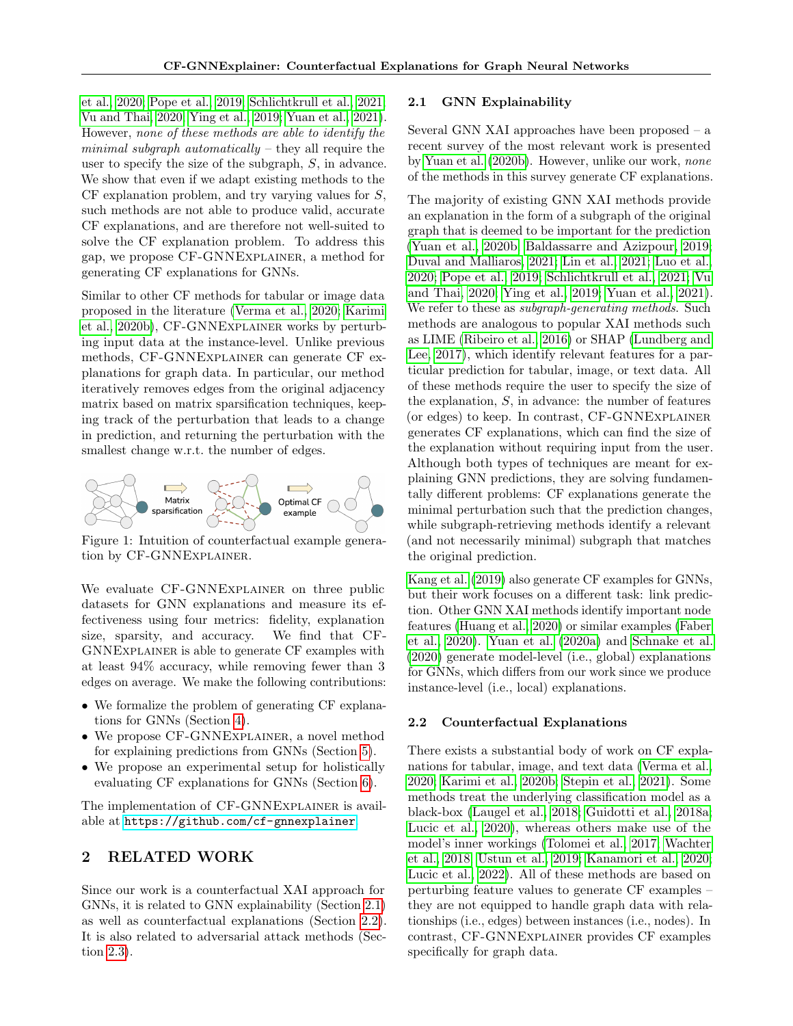[et al., 2020;](#page-10-9) [Pope et al., 2019;](#page-10-10) [Schlichtkrull et al., 2021;](#page-10-11) [Vu and Thai, 2020;](#page-11-5) [Ying et al., 2019;](#page-11-6) [Yuan et al., 2021\)](#page-11-7). However, none of these methods are able to identify the minimal subgraph automatically  $-$  they all require the user to specify the size of the subgraph, S, in advance. We show that even if we adapt existing methods to the  $CF$  explanation problem, and try varying values for  $S$ , such methods are not able to produce valid, accurate CF explanations, and are therefore not well-suited to solve the CF explanation problem. To address this gap, we propose CF-GNNExplainer, a method for generating CF explanations for GNNs.

Similar to other CF methods for tabular or image data proposed in the literature [\(Verma et al., 2020;](#page-11-8) [Karimi](#page-10-5) [et al., 2020b\)](#page-10-5), CF-GNNExplainer works by perturbing input data at the instance-level. Unlike previous methods, CF-GNNExplainer can generate CF explanations for graph data. In particular, our method iteratively removes edges from the original adjacency matrix based on matrix sparsification techniques, keeping track of the perturbation that leads to a change in prediction, and returning the perturbation with the smallest change w.r.t. the number of edges.



Figure 1: Intuition of counterfactual example generation by CF-GNNExplainer.

We evaluate CF-GNNEXPLAINER on three public datasets for GNN explanations and measure its effectiveness using four metrics: fidelity, explanation size, sparsity, and accuracy. We find that CF-GNNExplainer is able to generate CF examples with at least 94% accuracy, while removing fewer than 3 edges on average. We make the following contributions:

- We formalize the problem of generating CF explanations for GNNs (Section [4\)](#page-2-0).
- We propose CF-GNNEXPLAINER, a novel method for explaining predictions from GNNs (Section [5\)](#page-3-0).
- We propose an experimental setup for holistically evaluating CF explanations for GNNs (Section [6\)](#page-4-0).

The implementation of CF-GNNExplainer is available at <https://github.com/cf-gnnexplainer>.

## 2 RELATED WORK

Since our work is a counterfactual XAI approach for GNNs, it is related to GNN explainability (Section [2.1\)](#page-1-0) as well as counterfactual explanations (Section [2.2\)](#page-1-1). It is also related to adversarial attack methods (Section [2.3\)](#page-2-1).

#### <span id="page-1-0"></span>2.1 GNN Explainability

Several GNN XAI approaches have been proposed – a recent survey of the most relevant work is presented by [Yuan et al.](#page-11-4) [\(2020b\)](#page-11-4). However, unlike our work, none of the methods in this survey generate CF explanations.

The majority of existing GNN XAI methods provide an explanation in the form of a subgraph of the original graph that is deemed to be important for the prediction [\(Yuan et al., 2020b;](#page-11-4) [Baldassarre and Azizpour, 2019;](#page-9-6) [Duval and Malliaros, 2021;](#page-9-7) [Lin et al., 2021;](#page-10-8) [Luo et al.,](#page-10-9) [2020;](#page-10-9) [Pope et al., 2019;](#page-10-10) [Schlichtkrull et al., 2021;](#page-10-11) [Vu](#page-11-5) [and Thai, 2020;](#page-11-5) [Ying et al., 2019;](#page-11-6) [Yuan et al., 2021\)](#page-11-7). We refer to these as *subgraph-generating methods*. Such methods are analogous to popular XAI methods such as LIME [\(Ribeiro et al., 2016\)](#page-10-12) or SHAP [\(Lundberg and](#page-10-13) [Lee, 2017\)](#page-10-13), which identify relevant features for a particular prediction for tabular, image, or text data. All of these methods require the user to specify the size of the explanation,  $S$ , in advance: the number of features (or edges) to keep. In contrast, CF-GNNExplainer generates CF explanations, which can find the size of the explanation without requiring input from the user. Although both types of techniques are meant for explaining GNN predictions, they are solving fundamentally different problems: CF explanations generate the minimal perturbation such that the prediction changes, while subgraph-retrieving methods identify a relevant (and not necessarily minimal) subgraph that matches the original prediction.

[Kang et al.](#page-10-14) [\(2019\)](#page-10-14) also generate CF examples for GNNs, but their work focuses on a different task: link prediction. Other GNN XAI methods identify important node features [\(Huang et al., 2020\)](#page-9-8) or similar examples [\(Faber](#page-9-9) [et al., 2020\)](#page-9-9). [Yuan et al.](#page-11-9) [\(2020a\)](#page-11-9) and [Schnake et al.](#page-10-15) [\(2020\)](#page-10-15) generate model-level (i.e., global) explanations for GNNs, which differs from our work since we produce instance-level (i.e., local) explanations.

## <span id="page-1-1"></span>2.2 Counterfactual Explanations

There exists a substantial body of work on CF explanations for tabular, image, and text data [\(Verma et al.,](#page-11-8) [2020;](#page-11-8) [Karimi et al., 2020b;](#page-10-5) [Stepin et al., 2021\)](#page-10-2). Some methods treat the underlying classification model as a black-box [\(Laugel et al., 2018;](#page-10-16) [Guidotti et al., 2018a;](#page-9-10) [Lucic et al., 2020\)](#page-10-17), whereas others make use of the model's inner workings [\(Tolomei et al., 2017;](#page-11-10) [Wachter](#page-11-11) [et al., 2018;](#page-11-11) [Ustun et al., 2019;](#page-11-0) [Kanamori et al., 2020;](#page-9-11) [Lucic et al., 2022\)](#page-10-18). All of these methods are based on perturbing feature values to generate CF examples – they are not equipped to handle graph data with relationships (i.e., edges) between instances (i.e., nodes). In contrast, CF-GNNExplainer provides CF examples specifically for graph data.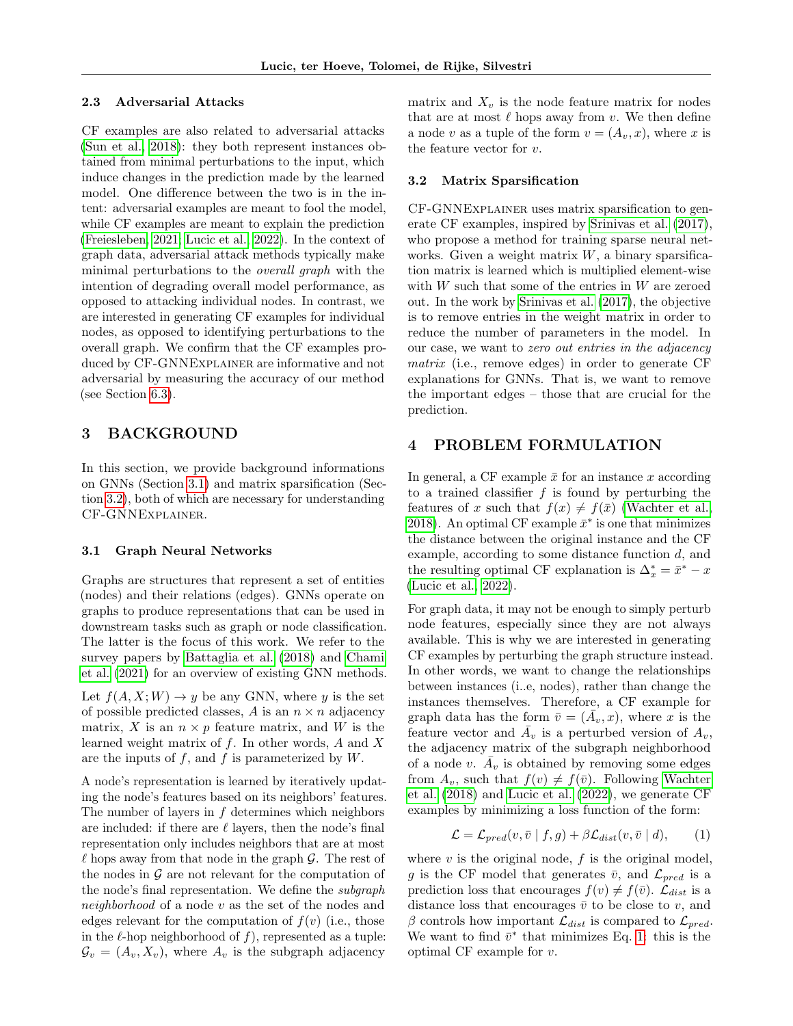#### <span id="page-2-1"></span>2.3 Adversarial Attacks

CF examples are also related to adversarial attacks [\(Sun et al., 2018\)](#page-10-19): they both represent instances obtained from minimal perturbations to the input, which induce changes in the prediction made by the learned model. One difference between the two is in the intent: adversarial examples are meant to fool the model, while CF examples are meant to explain the prediction [\(Freiesleben, 2021;](#page-9-12) [Lucic et al., 2022\)](#page-10-18). In the context of graph data, adversarial attack methods typically make minimal perturbations to the overall graph with the intention of degrading overall model performance, as opposed to attacking individual nodes. In contrast, we are interested in generating CF examples for individual nodes, as opposed to identifying perturbations to the overall graph. We confirm that the CF examples produced by CF-GNNExplainer are informative and not adversarial by measuring the accuracy of our method (see Section [6.3\)](#page-5-0).

# <span id="page-2-5"></span>3 BACKGROUND

In this section, we provide background informations on GNNs (Section [3.1\)](#page-2-2) and matrix sparsification (Section [3.2\)](#page-2-3), both of which are necessary for understanding CF-GNNExplainer.

### <span id="page-2-2"></span>3.1 Graph Neural Networks

Graphs are structures that represent a set of entities (nodes) and their relations (edges). GNNs operate on graphs to produce representations that can be used in downstream tasks such as graph or node classification. The latter is the focus of this work. We refer to the survey papers by [Battaglia et al.](#page-9-13) [\(2018\)](#page-9-13) and [Chami](#page-9-14) [et al.](#page-9-14) [\(2021\)](#page-9-14) for an overview of existing GNN methods.

Let  $f(A, X; W) \to y$  be any GNN, where y is the set of possible predicted classes, A is an  $n \times n$  adjacency matrix, X is an  $n \times p$  feature matrix, and W is the learned weight matrix of  $f$ . In other words,  $A$  and  $X$ are the inputs of  $f$ , and  $f$  is parameterized by  $W$ .

A node's representation is learned by iteratively updating the node's features based on its neighbors' features. The number of layers in  $f$  determines which neighbors are included: if there are  $\ell$  layers, then the node's final representation only includes neighbors that are at most  $\ell$  hops away from that node in the graph  $\mathcal{G}$ . The rest of the nodes in  $\mathcal G$  are not relevant for the computation of the node's final representation. We define the subgraph neighborhood of a node v as the set of the nodes and edges relevant for the computation of  $f(v)$  (i.e., those in the  $\ell$ -hop neighborhood of f), represented as a tuple:  $\mathcal{G}_v = (A_v, X_v)$ , where  $A_v$  is the subgraph adjacency matrix and  $X_v$  is the node feature matrix for nodes that are at most  $\ell$  hops away from v. We then define a node v as a tuple of the form  $v = (A_v, x)$ , where x is the feature vector for v.

### <span id="page-2-3"></span>3.2 Matrix Sparsification

CF-GNNExplainer uses matrix sparsification to generate CF examples, inspired by [Srinivas et al.](#page-10-20) [\(2017\)](#page-10-20), who propose a method for training sparse neural networks. Given a weight matrix  $W$ , a binary sparsification matrix is learned which is multiplied element-wise with  $W$  such that some of the entries in  $W$  are zeroed out. In the work by [Srinivas et al.](#page-10-20) [\(2017\)](#page-10-20), the objective is to remove entries in the weight matrix in order to reduce the number of parameters in the model. In our case, we want to zero out entries in the adjacency matrix (i.e., remove edges) in order to generate CF explanations for GNNs. That is, we want to remove the important edges – those that are crucial for the prediction.

## <span id="page-2-0"></span>4 PROBLEM FORMULATION

In general, a CF example  $\bar{x}$  for an instance x according to a trained classifier  $f$  is found by perturbing the features of x such that  $f(x) \neq f(\bar{x})$  [\(Wachter et al.,](#page-11-11) [2018\)](#page-11-11). An optimal CF example  $\bar{x}^*$  is one that minimizes the distance between the original instance and the CF example, according to some distance function d, and the resulting optimal CF explanation is  $\Delta_x^* = \bar{x}^* - x$ [\(Lucic et al., 2022\)](#page-10-18).

For graph data, it may not be enough to simply perturb node features, especially since they are not always available. This is why we are interested in generating CF examples by perturbing the graph structure instead. In other words, we want to change the relationships between instances (i..e, nodes), rather than change the instances themselves. Therefore, a CF example for graph data has the form  $\bar{v} = (\bar{A}_v, x)$ , where x is the feature vector and  $\overline{A}_v$  is a perturbed version of  $A_v$ , the adjacency matrix of the subgraph neighborhood of a node v.  $\overline{A}_v$  is obtained by removing some edges from  $A_v$ , such that  $f(v) \neq f(\bar{v})$ . Following [Wachter](#page-11-11) [et al.](#page-11-11) [\(2018\)](#page-11-11) and [Lucic et al.](#page-10-18) [\(2022\)](#page-10-18), we generate CF examples by minimizing a loss function of the form:

<span id="page-2-4"></span>
$$
\mathcal{L} = \mathcal{L}_{pred}(v, \bar{v} \mid f, g) + \beta \mathcal{L}_{dist}(v, \bar{v} \mid d), \qquad (1)
$$

where  $v$  is the original node,  $f$  is the original model, g is the CF model that generates  $\bar{v}$ , and  $\mathcal{L}_{pred}$  is a prediction loss that encourages  $f(v) \neq f(\bar{v})$ .  $\mathcal{L}_{dist}$  is a distance loss that encourages  $\bar{v}$  to be close to v, and β controls how important  $\mathcal{L}_{dist}$  is compared to  $\mathcal{L}_{pred}$ . We want to find  $\bar{v}^*$  that minimizes Eq. [1:](#page-2-4) this is the optimal CF example for v.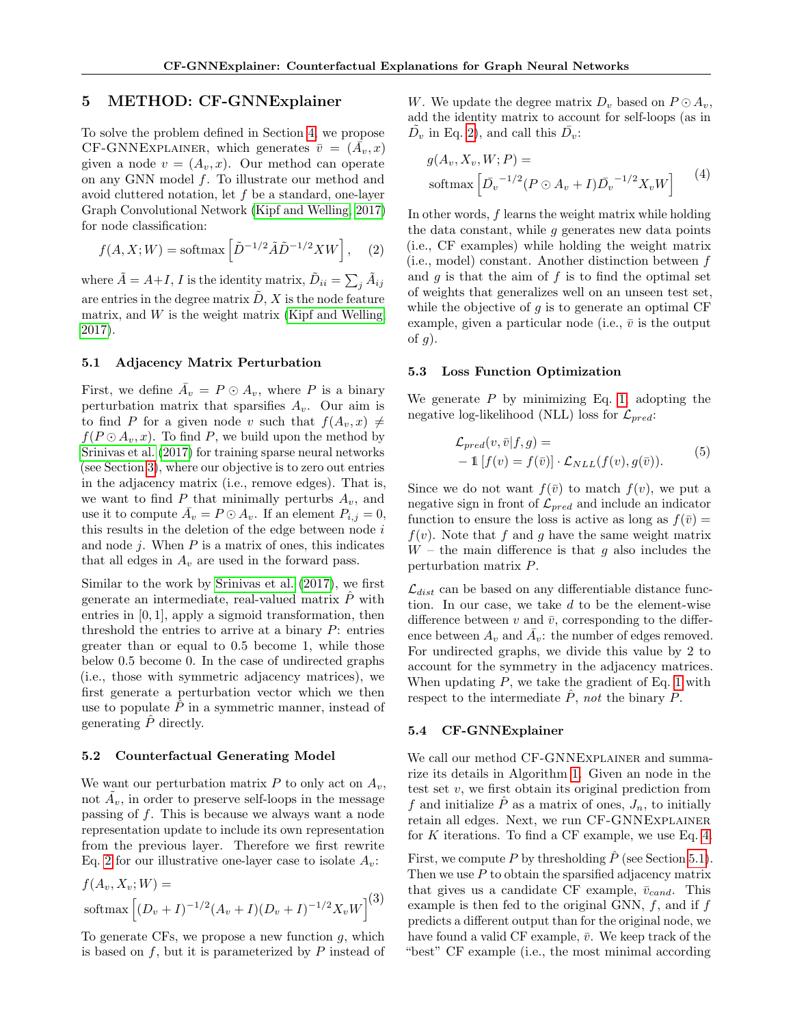## <span id="page-3-0"></span>5 METHOD: CF-GNNExplainer

To solve the problem defined in Section [4,](#page-2-0) we propose CF-GNNEXPLAINER, which generates  $\bar{v} = (\bar{A}_v, x)$ given a node  $v = (A_v, x)$ . Our method can operate on any GNN model f. To illustrate our method and avoid cluttered notation, let f be a standard, one-layer Graph Convolutional Network [\(Kipf and Welling, 2017\)](#page-10-21) for node classification:

$$
f(A, X; W) = \text{softmax}\left[\tilde{D}^{-1/2}\tilde{A}\tilde{D}^{-1/2}XW\right],\quad(2)
$$

where  $\tilde{A} = A + I, I$  is the identity matrix,  $\tilde{D}_{ii} = \sum_j \tilde{A}_{ij}$ are entries in the degree matrix  $\tilde{D}$ , X is the node feature matrix, and  $W$  is the weight matrix [\(Kipf and Welling,](#page-10-21) [2017\)](#page-10-21).

## <span id="page-3-3"></span>5.1 Adjacency Matrix Perturbation

First, we define  $\overline{A}_v = P \odot A_v$ , where P is a binary perturbation matrix that sparsifies  $A_v$ . Our aim is to find P for a given node v such that  $f(A_v, x) \neq$  $f(P \odot A_{\nu}, x)$ . To find P, we build upon the method by [Srinivas et al.](#page-10-20) [\(2017\)](#page-10-20) for training sparse neural networks (see Section [3\)](#page-2-5), where our objective is to zero out entries in the adjacency matrix (i.e., remove edges). That is, we want to find  $P$  that minimally perturbs  $A_v$ , and use it to compute  $\overline{A}_v = P \odot A_v$ . If an element  $P_{i,j} = 0$ , this results in the deletion of the edge between node  $i$ and node  $j$ . When  $P$  is a matrix of ones, this indicates that all edges in  $A_v$  are used in the forward pass.

Similar to the work by [Srinivas et al.](#page-10-20) [\(2017\)](#page-10-20), we first generate an intermediate, real-valued matrix  $\hat{P}$  with entries in [0, 1], apply a sigmoid transformation, then threshold the entries to arrive at a binary  $P$ : entries greater than or equal to 0.5 become 1, while those below 0.5 become 0. In the case of undirected graphs (i.e., those with symmetric adjacency matrices), we first generate a perturbation vector which we then use to populate  $\tilde{P}$  in a symmetric manner, instead of generating  $\hat{P}$  directly.

### 5.2 Counterfactual Generating Model

We want our perturbation matrix  $P$  to only act on  $A_v$ , not  $\tilde{A}_v$ , in order to preserve self-loops in the message passing of f. This is because we always want a node representation update to include its own representation from the previous layer. Therefore we first rewrite Eq. [2](#page-3-1) for our illustrative one-layer case to isolate  $A_v$ :

$$
f(A_v, X_v; W) =
$$
  
softmax 
$$
\left[ (D_v + I)^{-1/2} (A_v + I)(D_v + I)^{-1/2} X_v W \right]^{(3)}
$$

To generate CFs, we propose a new function  $q$ , which is based on  $f$ , but it is parameterized by  $P$  instead of W. We update the degree matrix  $D_v$  based on  $P \odot A_v$ , add the identity matrix to account for self-loops (as in  $\tilde{D_v}$  in Eq. [2\)](#page-3-1), and call this  $\bar{D_v}$ :

<span id="page-3-2"></span>
$$
g(A_v, X_v, W; P) =
$$
  
softmax  $\left[ \overline{D}_v^{-1/2} (P \odot A_v + I) \overline{D}_v^{-1/2} X_v W \right]$  (4)

<span id="page-3-1"></span>In other words, f learns the weight matrix while holding the data constant, while  $g$  generates new data points (i.e., CF examples) while holding the weight matrix (i.e., model) constant. Another distinction between f and  $q$  is that the aim of  $f$  is to find the optimal set of weights that generalizes well on an unseen test set, while the objective of  $q$  is to generate an optimal CF example, given a particular node (i.e.,  $\bar{v}$  is the output of  $g$ ).

#### 5.3 Loss Function Optimization

We generate  $P$  by minimizing Eq. [1,](#page-2-4) adopting the negative log-likelihood (NLL) loss for  $\mathcal{L}_{pred}$ :

<span id="page-3-4"></span>
$$
\mathcal{L}_{pred}(v,\bar{v}|f,g) = -\mathbb{1}[f(v) = f(\bar{v})] \cdot \mathcal{L}_{NLL}(f(v), g(\bar{v})).
$$
\n(5)

Since we do not want  $f(\bar{v})$  to match  $f(v)$ , we put a negative sign in front of  $\mathcal{L}_{pred}$  and include an indicator function to ensure the loss is active as long as  $f(\bar{v}) =$  $f(v)$ . Note that f and g have the same weight matrix  $W$  – the main difference is that q also includes the perturbation matrix P.

 $\mathcal{L}_{dist}$  can be based on any differentiable distance function. In our case, we take d to be the element-wise difference between  $v$  and  $\bar{v}$ , corresponding to the difference between  $A_v$  and  $\overline{A}_v$ : the number of edges removed. For undirected graphs, we divide this value by 2 to account for the symmetry in the adjacency matrices. When updating  $P$ , we take the gradient of Eq. [1](#page-2-4) with respect to the intermediate  $\hat{P}$ , not the binary P.

### 5.4 CF-GNNExplainer

We call our method CF-GNNEXPLAINER and summarize its details in Algorithm [1.](#page-4-1) Given an node in the test set  $v$ , we first obtain its original prediction from f and initialize  $\hat{P}$  as a matrix of ones,  $J_n$ , to initially retain all edges. Next, we run CF-GNNExplainer for  $K$  iterations. To find a CF example, we use Eq. [4.](#page-3-2)

First, we compute P by thresholding  $\hat{P}$  (see Section [5.1\)](#page-3-3). Then we use  $P$  to obtain the sparsified adjacency matrix that gives us a candidate CF example,  $\bar{v}_{cand}$ . This example is then fed to the original GNN,  $f$ , and if  $f$ predicts a different output than for the original node, we have found a valid CF example,  $\bar{v}$ . We keep track of the "best" CF example (i.e., the most minimal according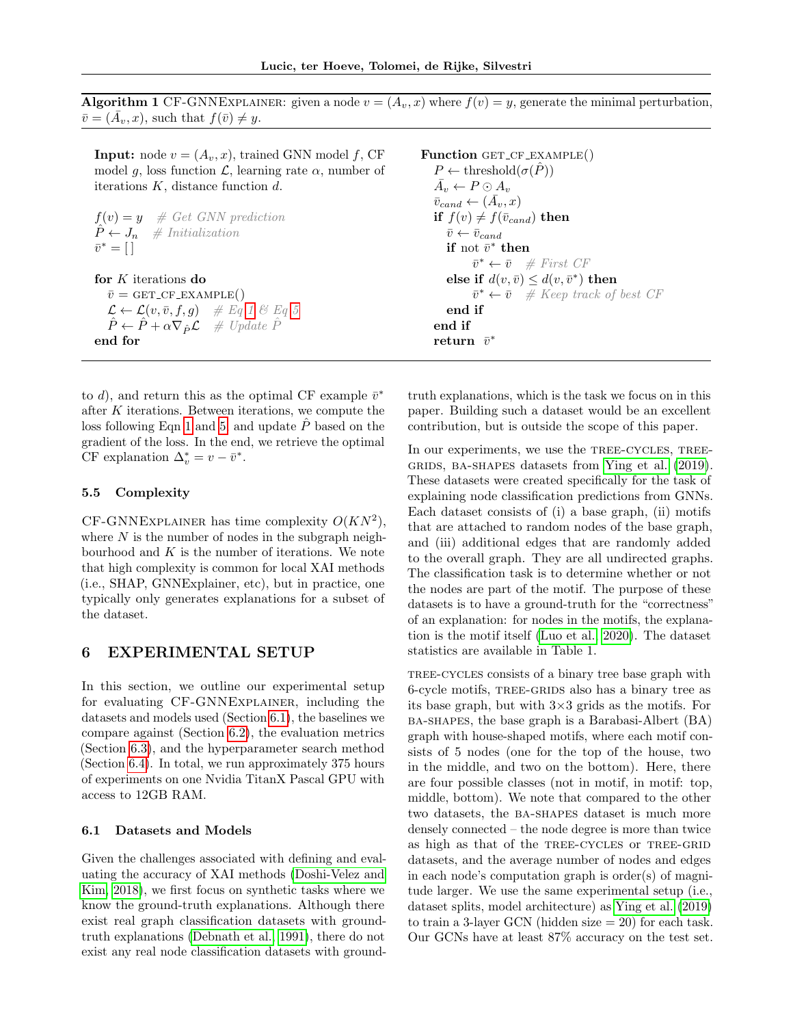<span id="page-4-1"></span>Algorithm 1 CF-GNNEXPLAINER: given a node  $v = (A_v, x)$  where  $f(v) = y$ , generate the minimal perturbation,  $\overline{v} = (\overline{A}_v, x)$ , such that  $f(\overline{v}) \neq y$ .

**Input:** node  $v = (A_v, x)$ , trained GNN model f, CF model g, loss function  $\mathcal{L}$ , learning rate  $\alpha$ , number of iterations  $K$ , distance function  $d$ .

 $f(v) = y$  # Get GNN prediction  $P \leftarrow J_n$  # Initialization  $\bar{v}^* = [\ ]$ 

for  $\cal K$  iterations do  $\bar{v} =$  GET\_CF\_EXAMPLE()  $\mathcal{L} \leftarrow \mathcal{L}(v, \bar{v}, f, g) \quad \# \; Eq \; 1 \; \mathcal{C} \; Eq \; 5$  $\mathcal{L} \leftarrow \mathcal{L}(v, \bar{v}, f, g) \quad \# \; Eq \; 1 \; \mathcal{C} \; Eq \; 5$  $\mathcal{L} \leftarrow \mathcal{L}(v, \bar{v}, f, g) \quad \# \; Eq \; 1 \; \mathcal{C} \; Eq \; 5$  $\mathcal{L} \leftarrow \mathcal{L}(v, \bar{v}, f, g) \quad \# \; Eq \; 1 \; \mathcal{C} \; Eq \; 5$  $\hat{P} \leftarrow \hat{P} + \alpha \nabla_{\hat{P}} \mathcal{L}$  # Update  $\hat{P}$ end for

to d), and return this as the optimal CF example  $\bar{v}^*$ after K iterations. Between iterations, we compute the loss following Eqn [1](#page-2-4) and [5,](#page-3-4) and update  $\hat{P}$  based on the gradient of the loss. In the end, we retrieve the optimal CF explanation  $\Delta_v^* = v - \bar{v}^*$ .

## 5.5 Complexity

CF-GNNEXPLAINER has time complexity  $O(KN^2)$ , where  $N$  is the number of nodes in the subgraph neighbourhood and  $K$  is the number of iterations. We note that high complexity is common for local XAI methods (i.e., SHAP, GNNExplainer, etc), but in practice, one typically only generates explanations for a subset of the dataset.

## <span id="page-4-0"></span>6 EXPERIMENTAL SETUP

In this section, we outline our experimental setup for evaluating CF-GNNExplainer, including the datasets and models used (Section [6.1\)](#page-4-2), the baselines we compare against (Section [6.2\)](#page-5-1), the evaluation metrics (Section [6.3\)](#page-5-0), and the hyperparameter search method (Section [6.4\)](#page-5-2). In total, we run approximately 375 hours of experiments on one Nvidia TitanX Pascal GPU with access to 12GB RAM.

#### <span id="page-4-2"></span>6.1 Datasets and Models

Given the challenges associated with defining and evaluating the accuracy of XAI methods [\(Doshi-Velez and](#page-9-15) [Kim, 2018\)](#page-9-15), we first focus on synthetic tasks where we know the ground-truth explanations. Although there exist real graph classification datasets with groundtruth explanations [\(Debnath et al., 1991\)](#page-9-16), there do not exist any real node classification datasets with groundFunction GET\_CF\_EXAMPLE()  $P \leftarrow \text{threshold}(\sigma(P))$  $\bar{A}_v \leftarrow P \odot A_v$  $\bar{v}_{cand} \leftarrow (\bar{A}_v, x)$ if  $f(v) \neq f(\bar{v}_{cand})$  then  $\bar{v} \leftarrow \bar{v}_{cand}$ if not  $\bar{v}^*$  then  $\bar{v}^* \leftarrow \bar{v}$  # First CF else if  $d(v, \bar{v}) \leq d(v, \bar{v}^*)$  then  $\bar{v}^* \leftarrow \bar{v}$  # Keep track of best CF end if end if  ${\bf return} \;\; \bar v^*$ 

truth explanations, which is the task we focus on in this paper. Building such a dataset would be an excellent contribution, but is outside the scope of this paper.

In our experiments, we use the TREE-CYCLES, TREE-GRIDS, BA-SHAPES datasets from [Ying et al.](#page-11-6) [\(2019\)](#page-11-6). These datasets were created specifically for the task of explaining node classification predictions from GNNs. Each dataset consists of (i) a base graph, (ii) motifs that are attached to random nodes of the base graph, and (iii) additional edges that are randomly added to the overall graph. They are all undirected graphs. The classification task is to determine whether or not the nodes are part of the motif. The purpose of these datasets is to have a ground-truth for the "correctness" of an explanation: for nodes in the motifs, the explanation is the motif itself [\(Luo et al., 2020\)](#page-10-9). The dataset statistics are available in Table 1.

tree-cycles consists of a binary tree base graph with 6-cycle motifs, tree-grids also has a binary tree as its base graph, but with  $3\times3$  grids as the motifs. For ba-shapes, the base graph is a Barabasi-Albert (BA) graph with house-shaped motifs, where each motif consists of 5 nodes (one for the top of the house, two in the middle, and two on the bottom). Here, there are four possible classes (not in motif, in motif: top, middle, bottom). We note that compared to the other two datasets, the ba-shapes dataset is much more densely connected – the node degree is more than twice as high as that of the TREE-CYCLES or TREE-GRID datasets, and the average number of nodes and edges in each node's computation graph is order(s) of magnitude larger. We use the same experimental setup (i.e., dataset splits, model architecture) as [Ying et al.](#page-11-6) [\(2019\)](#page-11-6) to train a 3-layer GCN (hidden size  $= 20$ ) for each task. Our GCNs have at least 87% accuracy on the test set.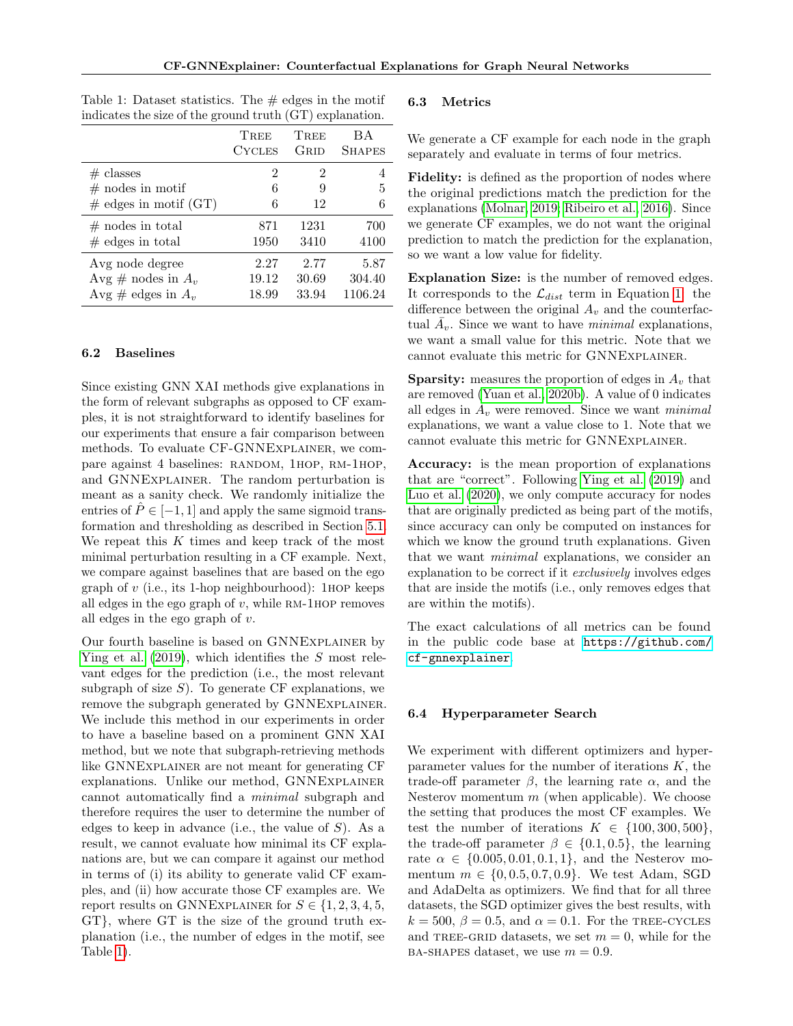| murcates the size of the ground truth (GT) explanation. |                |             |               |
|---------------------------------------------------------|----------------|-------------|---------------|
|                                                         | TREE           | <b>TREE</b> | ВA            |
|                                                         | <b>CYCLES</b>  | Grid        | <b>SHAPES</b> |
| $#$ classes                                             | $\overline{2}$ | 2           | 4             |
| $\#$ nodes in motif                                     | 6              | 9           | 5             |
| $\#$ edges in motif (GT)                                | 6              | 12          | 6             |
| $#$ nodes in total                                      | 871            | 1231        | 700           |
| $#$ edges in total                                      | 1950           | 3410        | 4100          |
| Avg node degree                                         | 2.27           | 2.77        | 5.87          |
| Avg # nodes in $A_v$                                    | 19.12          | 30.69       | 304.40        |
| Avg # edges in $A_v$                                    | 18.99          | 33.94       | 1106.24       |

<span id="page-5-3"></span>Table 1: Dataset statistics. The  $\#$  edges in the motif indicates the size of the ground truth  $\overline{(CT)}$  explanation

## <span id="page-5-1"></span>6.2 Baselines

Since existing GNN XAI methods give explanations in the form of relevant subgraphs as opposed to CF examples, it is not straightforward to identify baselines for our experiments that ensure a fair comparison between methods. To evaluate CF-GNNExplainer, we compare against 4 baselines: RANDOM, 1HOP, RM-1HOP, and GNNExplainer. The random perturbation is meant as a sanity check. We randomly initialize the entries of  $\tilde{P} \in [-1, 1]$  and apply the same sigmoid transformation and thresholding as described in Section [5.1.](#page-3-3) We repeat this  $K$  times and keep track of the most minimal perturbation resulting in a CF example. Next, we compare against baselines that are based on the ego graph of  $v$  (i.e., its 1-hop neighbourhood): 1HOP keeps all edges in the ego graph of  $v$ , while RM-1HOP removes all edges in the ego graph of  $v$ .

Our fourth baseline is based on GNNExplainer by [Ying et al.](#page-11-6) [\(2019\)](#page-11-6), which identifies the S most relevant edges for the prediction (i.e., the most relevant subgraph of size  $S$ ). To generate CF explanations, we remove the subgraph generated by GNNEXPLAINER. We include this method in our experiments in order to have a baseline based on a prominent GNN XAI method, but we note that subgraph-retrieving methods like GNNEXPLAINER are not meant for generating CF explanations. Unlike our method, GNNExplainer cannot automatically find a minimal subgraph and therefore requires the user to determine the number of edges to keep in advance (i.e., the value of  $S$ ). As a result, we cannot evaluate how minimal its CF explanations are, but we can compare it against our method in terms of (i) its ability to generate valid CF examples, and (ii) how accurate those CF examples are. We report results on GNNEXPLAINER for  $S \in \{1, 2, 3, 4, 5,$ GT}, where GT is the size of the ground truth explanation (i.e., the number of edges in the motif, see Table [1\)](#page-5-3).

#### <span id="page-5-0"></span>6.3 Metrics

We generate a CF example for each node in the graph separately and evaluate in terms of four metrics.

Fidelity: is defined as the proportion of nodes where the original predictions match the prediction for the explanations [\(Molnar, 2019;](#page-10-22) [Ribeiro et al., 2016\)](#page-10-12). Since we generate CF examples, we do not want the original prediction to match the prediction for the explanation, so we want a low value for fidelity.

Explanation Size: is the number of removed edges. It corresponds to the  $\mathcal{L}_{dist}$  term in Equation [1:](#page-2-4) the difference between the original  $A_v$  and the counterfactual  $\bar{A}_v$ . Since we want to have *minimal* explanations, we want a small value for this metric. Note that we cannot evaluate this metric for GNNExplainer.

**Sparsity:** measures the proportion of edges in  $A_v$  that are removed [\(Yuan et al., 2020b\)](#page-11-4). A value of 0 indicates all edges in  $A_v$  were removed. Since we want *minimal* explanations, we want a value close to 1. Note that we cannot evaluate this metric for GNNExplainer.

Accuracy: is the mean proportion of explanations that are "correct". Following [Ying et al.](#page-11-6) [\(2019\)](#page-11-6) and [Luo et al.](#page-10-9) [\(2020\)](#page-10-9), we only compute accuracy for nodes that are originally predicted as being part of the motifs, since accuracy can only be computed on instances for which we know the ground truth explanations. Given that we want minimal explanations, we consider an explanation to be correct if it exclusively involves edges that are inside the motifs (i.e., only removes edges that are within the motifs).

The exact calculations of all metrics can be found in the public code base at [https://github.com/](https://github.com/cf-gnnexplainer) [cf-gnnexplainer](https://github.com/cf-gnnexplainer).

#### <span id="page-5-2"></span>6.4 Hyperparameter Search

We experiment with different optimizers and hyperparameter values for the number of iterations  $K$ , the trade-off parameter  $\beta$ , the learning rate  $\alpha$ , and the Nesterov momentum  $m$  (when applicable). We choose the setting that produces the most CF examples. We test the number of iterations  $K \in \{100, 300, 500\},\$ the trade-off parameter  $\beta \in \{0.1, 0.5\}$ , the learning rate  $\alpha \in \{0.005, 0.01, 0.1, 1\}$ , and the Nesterov momentum  $m \in \{0, 0.5, 0.7, 0.9\}$ . We test Adam, SGD and AdaDelta as optimizers. We find that for all three datasets, the SGD optimizer gives the best results, with  $k = 500, \beta = 0.5, \text{ and } \alpha = 0.1.$  For the TREE-CYCLES and TREE-GRID datasets, we set  $m = 0$ , while for the BA-SHAPES dataset, we use  $m = 0.9$ .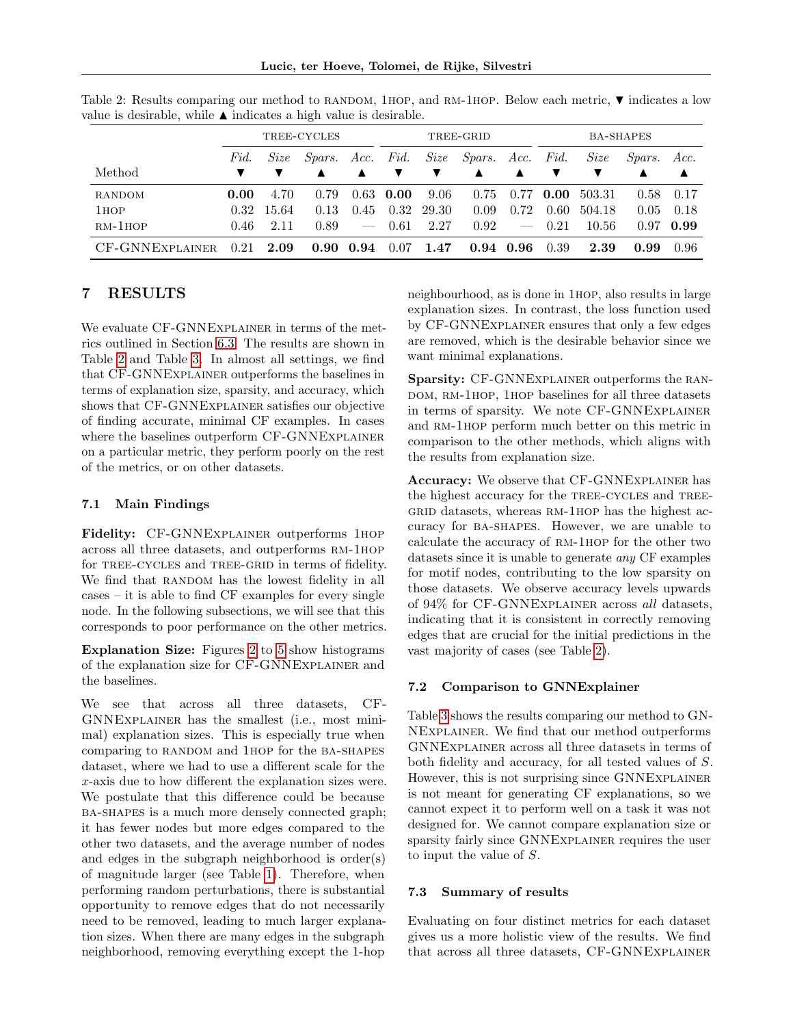Lucic, ter Hoeve, Tolomei, de Rijke, Silvestri

|                  | TREE-CYCLES  |             |      |                          | TREE-GRID                              |       |      |             | <b>BA-SHAPES</b>   |        |      |             |
|------------------|--------------|-------------|------|--------------------------|----------------------------------------|-------|------|-------------|--------------------|--------|------|-------------|
|                  | Fid.<br>Size |             |      |                          | Spars. Acc. Fid. Size Spars. Acc. Fid. |       |      | Size        | <i>Spars. Acc.</i> |        |      |             |
| Method           |              |             |      | ▲                        |                                        | ▼     | ▲    | ▲           |                    |        |      |             |
| RANDOM           | 0.00         | 4.70        | 0.79 |                          | $0.63$ 0.00                            | 9.06  | 0.75 |             | $0.77$ 0.00        | 503.31 |      | 0.58 0.17   |
| 1 <sub>HOP</sub> |              | 0.32 15.64  | 0.13 | 0.45                     | 0.32                                   | 29.30 | 0.09 | 0.72        | 0.60               | 504.18 | 0.05 | 0.18        |
| $RM-1HOP$        | 0.46         | 2.11        | 0.89 | $\overline{\phantom{m}}$ | 0.61                                   | 2.27  | 0.92 |             | $-$ 0.21           | 10.56  |      | $0.97$ 0.99 |
| CF-GNNEXPLAINER  |              | $0.21$ 2.09 |      | $0.90\ 0.94$             | $0.07$ 1.47                            |       |      | $0.94$ 0.96 | 0.39               | 2.39   | 0.99 | -0.96       |

<span id="page-6-0"></span>Table 2: Results comparing our method to RANDOM, 1HOP, and RM-1HOP. Below each metric,  $\blacktriangledown$  indicates a low value is desirable, while  $\blacktriangle$  indicates a high value is desirable.

# 7 RESULTS

We evaluate CF-GNNEXPLAINER in terms of the metrics outlined in Section [6.3.](#page-5-0) The results are shown in Table [2](#page-6-0) and Table [3.](#page-8-0) In almost all settings, we find that CF-GNNExplainer outperforms the baselines in terms of explanation size, sparsity, and accuracy, which shows that CF-GNNExplainer satisfies our objective of finding accurate, minimal CF examples. In cases where the baselines outperform CF-GNNEXPLAINER on a particular metric, they perform poorly on the rest of the metrics, or on other datasets.

# 7.1 Main Findings

Fidelity: CF-GNNEXPLAINER outperforms 1HOP across all three datasets, and outperforms rm-1hop for TREE-CYCLES and TREE-GRID in terms of fidelity. We find that RANDOM has the lowest fidelity in all cases – it is able to find CF examples for every single node. In the following subsections, we will see that this corresponds to poor performance on the other metrics.

Explanation Size: Figures [2](#page-7-0) to [5](#page-7-0) show histograms of the explanation size for CF-GNNExplainer and the baselines.

We see that across all three datasets, CF-GNNExplainer has the smallest (i.e., most minimal) explanation sizes. This is especially true when comparing to RANDOM and 1HOP for the BA-SHAPES dataset, where we had to use a different scale for the x-axis due to how different the explanation sizes were. We postulate that this difference could be because ba-shapes is a much more densely connected graph; it has fewer nodes but more edges compared to the other two datasets, and the average number of nodes and edges in the subgraph neighborhood is order(s) of magnitude larger (see Table [1\)](#page-5-3). Therefore, when performing random perturbations, there is substantial opportunity to remove edges that do not necessarily need to be removed, leading to much larger explanation sizes. When there are many edges in the subgraph neighborhood, removing everything except the 1-hop

neighbourhood, as is done in 1hop, also results in large explanation sizes. In contrast, the loss function used by CF-GNNExplainer ensures that only a few edges are removed, which is the desirable behavior since we want minimal explanations.

Sparsity: CF-GNNEXPLAINER outperforms the RAN-DOM, RM-1HOP, 1HOP baselines for all three datasets in terms of sparsity. We note CF-GNNExplainer and RM-1HOP perform much better on this metric in comparison to the other methods, which aligns with the results from explanation size.

Accuracy: We observe that CF-GNNExplainer has the highest accuracy for the TREE-CYCLES and TREE-GRID datasets, whereas RM-1HOP has the highest accuracy for ba-shapes. However, we are unable to calculate the accuracy of RM-1HOP for the other two datasets since it is unable to generate any CF examples for motif nodes, contributing to the low sparsity on those datasets. We observe accuracy levels upwards of 94% for CF-GNNExplainer across all datasets, indicating that it is consistent in correctly removing edges that are crucial for the initial predictions in the vast majority of cases (see Table [2\)](#page-6-0).

## 7.2 Comparison to GNNExplainer

Table [3](#page-8-0) shows the results comparing our method to GN-NExplainer. We find that our method outperforms GNNExplainer across all three datasets in terms of both fidelity and accuracy, for all tested values of S. However, this is not surprising since GNNExplainer is not meant for generating CF explanations, so we cannot expect it to perform well on a task it was not designed for. We cannot compare explanation size or sparsity fairly since GNNExplainer requires the user to input the value of S.

## 7.3 Summary of results

Evaluating on four distinct metrics for each dataset gives us a more holistic view of the results. We find that across all three datasets, CF-GNNExplainer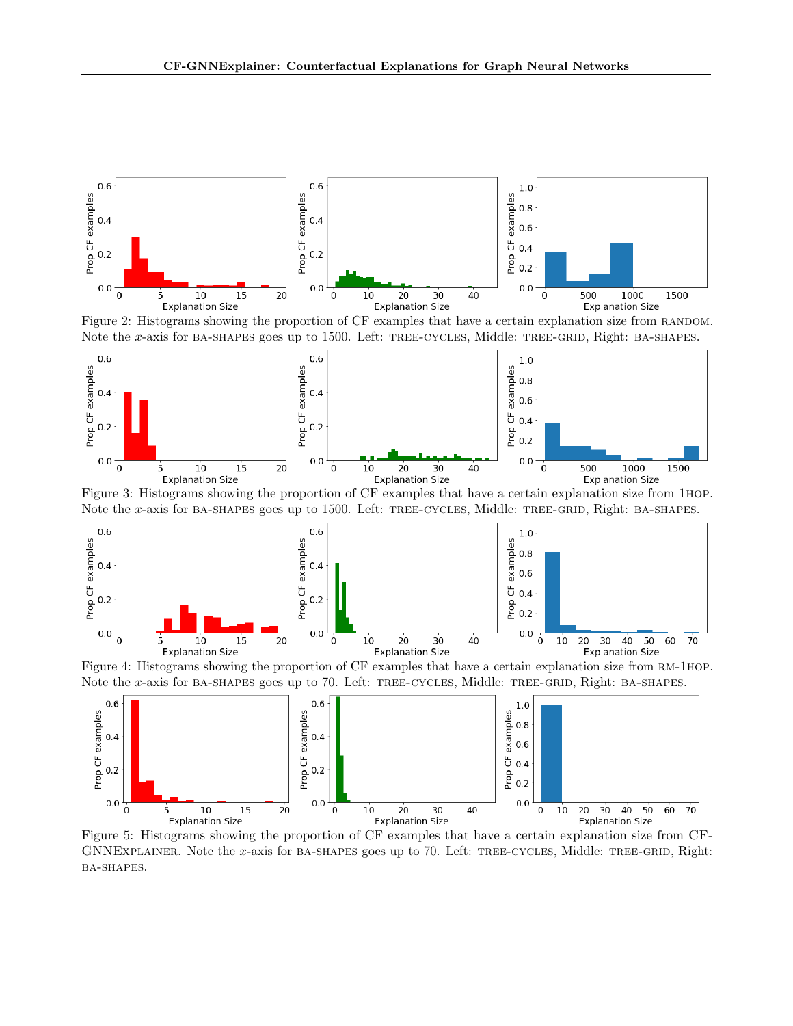<span id="page-7-0"></span>

Figure 2: Histograms showing the proportion of CF examples that have a certain explanation size from RANDOM. Note the x-axis for BA-SHAPES goes up to 1500. Left: TREE-CYCLES, Middle: TREE-GRID, Right: BA-SHAPES.



Figure 3: Histograms showing the proportion of CF examples that have a certain explanation size from 1hop. Note the x-axis for BA-SHAPES goes up to 1500. Left: TREE-CYCLES, Middle: TREE-GRID, Right: BA-SHAPES.



Figure 4: Histograms showing the proportion of CF examples that have a certain explanation size from rm-1hop. Note the x-axis for BA-SHAPES goes up to 70. Left: TREE-CYCLES, Middle: TREE-GRID, Right: BA-SHAPES.



Figure 5: Histograms showing the proportion of CF examples that have a certain explanation size from CF-GNNEXPLAINER. Note the x-axis for BA-SHAPES goes up to 70. Left: TREE-CYCLES, Middle: TREE-GRID, Right: ba-shapes.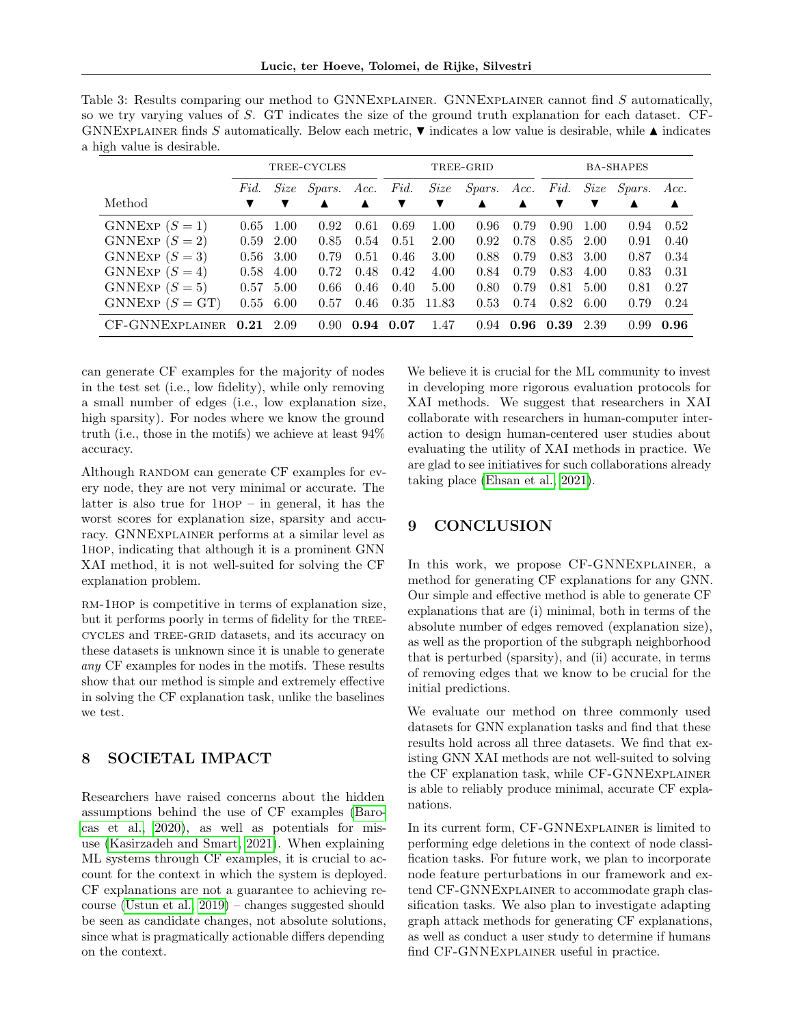<span id="page-8-0"></span>

| Table 3: Results comparing our method to GNNEXPLAINER. GNNEXPLAINER cannot find S automatically,                                     |
|--------------------------------------------------------------------------------------------------------------------------------------|
| so we try varying values of S. GT indicates the size of the ground truth explanation for each dataset. CF-                           |
| GNNEXPLAINER finds S automatically. Below each metric, $\nabla$ indicates a low value is desirable, while $\blacktriangle$ indicates |
| a high value is desirable.                                                                                                           |

|                   | TREE-CYCLES                    |             |      |      |      |       | TREE-GRID          |                  | <b>BA-SHAPES</b> |      |        |      |
|-------------------|--------------------------------|-------------|------|------|------|-------|--------------------|------------------|------------------|------|--------|------|
|                   | Fid.<br>Size<br>Spars.<br>Acc. |             |      |      | Fid. | Size  | <i>Spars. Acc.</i> |                  | Fid.             | Size | Spars. | Acc. |
| Method            |                                |             | ▲    | ▲    | ▼    | ▼     | ▲                  | $\blacktriangle$ | ▼                |      |        | ▲    |
| GNNEXP $(S = 1)$  | 0.65                           | 1.00        | 0.92 | 0.61 | 0.69 | 1.00  | 0.96               | 0.79             | 0.90             | 1.00 | 0.94   | 0.52 |
| GNNEXP $(S = 2)$  | 0.59                           | 2.00        | 0.85 | 0.54 | 0.51 | 2.00  | 0.92               | 0.78             | 0.85             | 2.00 | 0.91   | 0.40 |
| GNNEXP $(S=3)$    |                                | $0.56$ 3.00 | 0.79 | 0.51 | 0.46 | 3.00  | 0.88               | 0.79             | 0.83             | 3.00 | 0.87   | 0.34 |
| GNNEXP $(S = 4)$  | 0.58                           | 4.00        | 0.72 | 0.48 | 0.42 | 4.00  | 0.84               | 0.79             | 0.83             | 4.00 | 0.83   | 0.31 |
| GNNEXP $(S=5)$    | 0.57                           | 5.00        | 0.66 | 0.46 | 0.40 | 5.00  | 0.80               | 0.79             | 0.81             | 5.00 | 0.81   | 0.27 |
| GNNEXP $(S = GT)$ | 0.55                           | 6.00        | 0.57 | 0.46 | 0.35 | 11.83 | 0.53               | 0.74             | 0.82             | 6.00 | 0.79   | 0.24 |
| CF-GNNEXPLAINER   | 0.21                           | 2.09        | 0.90 | 0.94 | 0.07 | 1.47  | 0.94               | 0.96             | 0.39             | 2.39 | 0.99   | 0.96 |

can generate CF examples for the majority of nodes in the test set (i.e., low fidelity), while only removing a small number of edges (i.e., low explanation size, high sparsity). For nodes where we know the ground truth (i.e., those in the motifs) we achieve at least 94% accuracy.

Although RANDOM can generate CF examples for every node, they are not very minimal or accurate. The latter is also true for  $1HOP - in general$ , it has the worst scores for explanation size, sparsity and accuracy. GNNExplainer performs at a similar level as 1hop, indicating that although it is a prominent GNN XAI method, it is not well-suited for solving the CF explanation problem.

RM-1HOP is competitive in terms of explanation size, but it performs poorly in terms of fidelity for the TREEcycles and tree-grid datasets, and its accuracy on these datasets is unknown since it is unable to generate any CF examples for nodes in the motifs. These results show that our method is simple and extremely effective in solving the CF explanation task, unlike the baselines we test.

# 8 SOCIETAL IMPACT

Researchers have raised concerns about the hidden assumptions behind the use of CF examples [\(Baro](#page-9-17)[cas et al., 2020\)](#page-9-17), as well as potentials for misuse [\(Kasirzadeh and Smart, 2021\)](#page-10-23). When explaining ML systems through CF examples, it is crucial to account for the context in which the system is deployed. CF explanations are not a guarantee to achieving recourse [\(Ustun et al., 2019\)](#page-11-0) – changes suggested should be seen as candidate changes, not absolute solutions, since what is pragmatically actionable differs depending on the context.

We believe it is crucial for the ML community to invest in developing more rigorous evaluation protocols for XAI methods. We suggest that researchers in XAI collaborate with researchers in human-computer interaction to design human-centered user studies about evaluating the utility of XAI methods in practice. We are glad to see initiatives for such collaborations already taking place [\(Ehsan et al., 2021\)](#page-9-18).

# 9 CONCLUSION

In this work, we propose CF-GNNEXPLAINER, a method for generating CF explanations for any GNN. Our simple and effective method is able to generate CF explanations that are (i) minimal, both in terms of the absolute number of edges removed (explanation size), as well as the proportion of the subgraph neighborhood that is perturbed (sparsity), and (ii) accurate, in terms of removing edges that we know to be crucial for the initial predictions.

We evaluate our method on three commonly used datasets for GNN explanation tasks and find that these results hold across all three datasets. We find that existing GNN XAI methods are not well-suited to solving the CF explanation task, while CF-GNNExplainer is able to reliably produce minimal, accurate CF explanations.

In its current form, CF-GNNExplainer is limited to performing edge deletions in the context of node classification tasks. For future work, we plan to incorporate node feature perturbations in our framework and extend CF-GNNExplainer to accommodate graph classification tasks. We also plan to investigate adapting graph attack methods for generating CF explanations, as well as conduct a user study to determine if humans find CF-GNNExplainer useful in practice.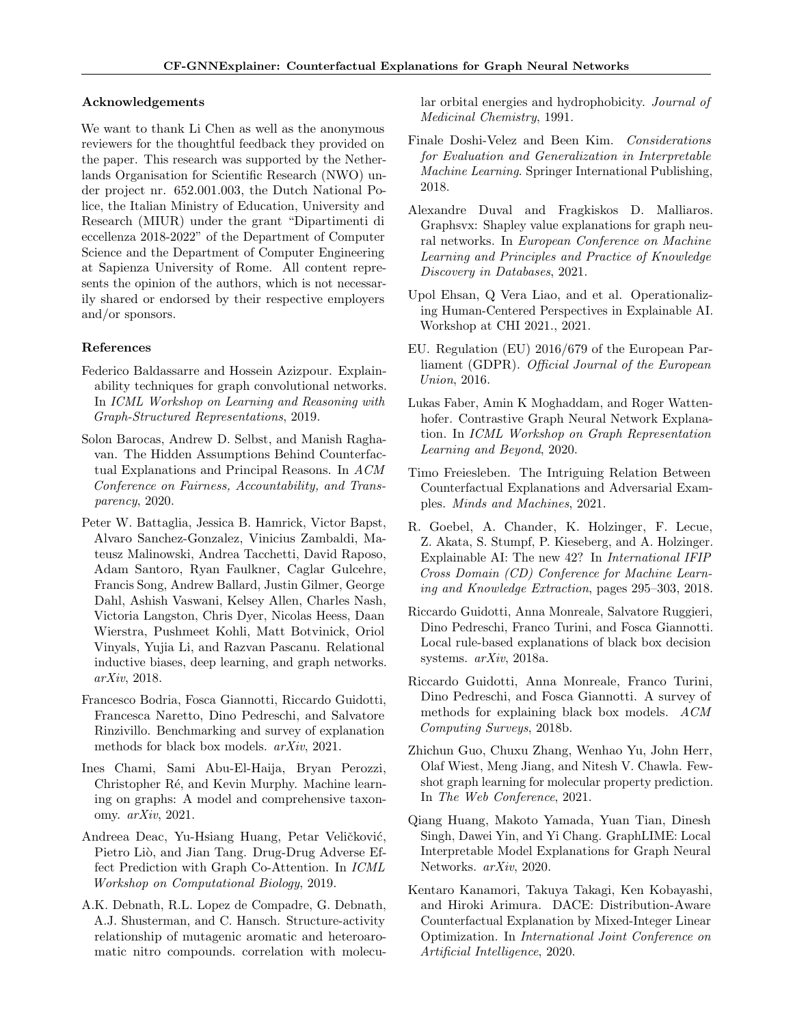### Acknowledgements

We want to thank Li Chen as well as the anonymous reviewers for the thoughtful feedback they provided on the paper. This research was supported by the Netherlands Organisation for Scientific Research (NWO) under project nr. 652.001.003, the Dutch National Police, the Italian Ministry of Education, University and Research (MIUR) under the grant "Dipartimenti di eccellenza 2018-2022" of the Department of Computer Science and the Department of Computer Engineering at Sapienza University of Rome. All content represents the opinion of the authors, which is not necessarily shared or endorsed by their respective employers and/or sponsors.

## References

- <span id="page-9-6"></span>Federico Baldassarre and Hossein Azizpour. Explainability techniques for graph convolutional networks. In ICML Workshop on Learning and Reasoning with Graph-Structured Representations, 2019.
- <span id="page-9-17"></span>Solon Barocas, Andrew D. Selbst, and Manish Raghavan. The Hidden Assumptions Behind Counterfactual Explanations and Principal Reasons. In ACM Conference on Fairness, Accountability, and Transparency, 2020.
- <span id="page-9-13"></span>Peter W. Battaglia, Jessica B. Hamrick, Victor Bapst, Alvaro Sanchez-Gonzalez, Vinicius Zambaldi, Mateusz Malinowski, Andrea Tacchetti, David Raposo, Adam Santoro, Ryan Faulkner, Caglar Gulcehre, Francis Song, Andrew Ballard, Justin Gilmer, George Dahl, Ashish Vaswani, Kelsey Allen, Charles Nash, Victoria Langston, Chris Dyer, Nicolas Heess, Daan Wierstra, Pushmeet Kohli, Matt Botvinick, Oriol Vinyals, Yujia Li, and Razvan Pascanu. Relational inductive biases, deep learning, and graph networks. arXiv, 2018.
- <span id="page-9-3"></span>Francesco Bodria, Fosca Giannotti, Riccardo Guidotti, Francesca Naretto, Dino Pedreschi, and Salvatore Rinzivillo. Benchmarking and survey of explanation methods for black box models. arXiv, 2021.
- <span id="page-9-14"></span>Ines Chami, Sami Abu-El-Haija, Bryan Perozzi, Christopher Ré, and Kevin Murphy. Machine learning on graphs: A model and comprehensive taxonomy. arXiv, 2021.
- <span id="page-9-5"></span>Andreea Deac, Yu-Hsiang Huang, Petar Veličković, Pietro Liò, and Jian Tang. Drug-Drug Adverse Effect Prediction with Graph Co-Attention. In ICML Workshop on Computational Biology, 2019.
- <span id="page-9-16"></span>A.K. Debnath, R.L. Lopez de Compadre, G. Debnath, A.J. Shusterman, and C. Hansch. Structure-activity relationship of mutagenic aromatic and heteroaromatic nitro compounds. correlation with molecu-

lar orbital energies and hydrophobicity. Journal of Medicinal Chemistry, 1991.

- <span id="page-9-15"></span>Finale Doshi-Velez and Been Kim. Considerations for Evaluation and Generalization in Interpretable Machine Learning. Springer International Publishing, 2018.
- <span id="page-9-7"></span>Alexandre Duval and Fragkiskos D. Malliaros. Graphsvx: Shapley value explanations for graph neural networks. In European Conference on Machine Learning and Principles and Practice of Knowledge Discovery in Databases, 2021.
- <span id="page-9-18"></span>Upol Ehsan, Q Vera Liao, and et al. Operationalizing Human-Centered Perspectives in Explainable AI. Workshop at CHI 2021., 2021.
- <span id="page-9-1"></span>EU. Regulation (EU) 2016/679 of the European Parliament (GDPR). Official Journal of the European Union, 2016.
- <span id="page-9-9"></span>Lukas Faber, Amin K Moghaddam, and Roger Wattenhofer. Contrastive Graph Neural Network Explanation. In ICML Workshop on Graph Representation Learning and Beyond, 2020.
- <span id="page-9-12"></span>Timo Freiesleben. The Intriguing Relation Between Counterfactual Explanations and Adversarial Examples. Minds and Machines, 2021.
- <span id="page-9-0"></span>R. Goebel, A. Chander, K. Holzinger, F. Lecue, Z. Akata, S. Stumpf, P. Kieseberg, and A. Holzinger. Explainable AI: The new 42? In International IFIP Cross Domain (CD) Conference for Machine Learning and Knowledge Extraction, pages 295–303, 2018.
- <span id="page-9-10"></span>Riccardo Guidotti, Anna Monreale, Salvatore Ruggieri, Dino Pedreschi, Franco Turini, and Fosca Giannotti. Local rule-based explanations of black box decision systems. arXiv, 2018a.
- <span id="page-9-2"></span>Riccardo Guidotti, Anna Monreale, Franco Turini, Dino Pedreschi, and Fosca Giannotti. A survey of methods for explaining black box models. ACM Computing Surveys, 2018b.
- <span id="page-9-4"></span>Zhichun Guo, Chuxu Zhang, Wenhao Yu, John Herr, Olaf Wiest, Meng Jiang, and Nitesh V. Chawla. Fewshot graph learning for molecular property prediction. In The Web Conference, 2021.
- <span id="page-9-8"></span>Qiang Huang, Makoto Yamada, Yuan Tian, Dinesh Singh, Dawei Yin, and Yi Chang. GraphLIME: Local Interpretable Model Explanations for Graph Neural Networks. arXiv, 2020.
- <span id="page-9-11"></span>Kentaro Kanamori, Takuya Takagi, Ken Kobayashi, and Hiroki Arimura. DACE: Distribution-Aware Counterfactual Explanation by Mixed-Integer Linear Optimization. In International Joint Conference on Artificial Intelligence, 2020.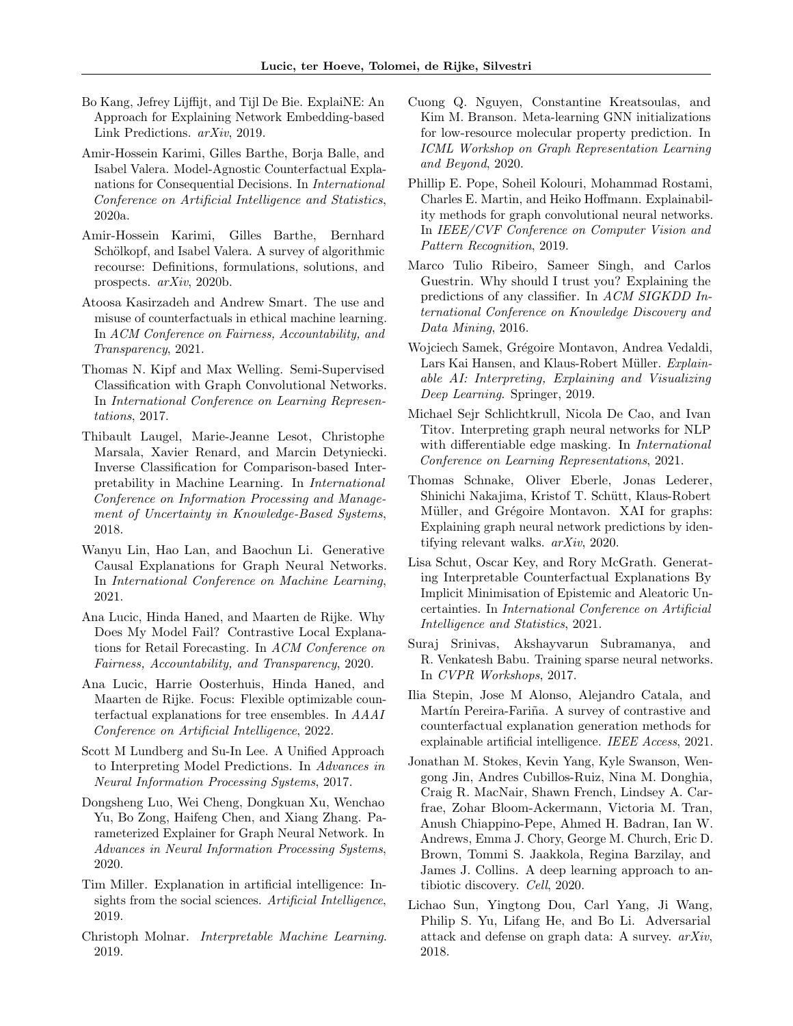- <span id="page-10-14"></span>Bo Kang, Jefrey Lijffijt, and Tijl De Bie. ExplaiNE: An Approach for Explaining Network Embedding-based Link Predictions. arXiv, 2019.
- <span id="page-10-3"></span>Amir-Hossein Karimi, Gilles Barthe, Borja Balle, and Isabel Valera. Model-Agnostic Counterfactual Explanations for Consequential Decisions. In International Conference on Artificial Intelligence and Statistics, 2020a.
- <span id="page-10-5"></span>Amir-Hossein Karimi, Gilles Barthe, Bernhard Schölkopf, and Isabel Valera. A survey of algorithmic recourse: Definitions, formulations, solutions, and prospects. arXiv, 2020b.
- <span id="page-10-23"></span>Atoosa Kasirzadeh and Andrew Smart. The use and misuse of counterfactuals in ethical machine learning. In ACM Conference on Fairness, Accountability, and Transparency, 2021.
- <span id="page-10-21"></span>Thomas N. Kipf and Max Welling. Semi-Supervised Classification with Graph Convolutional Networks. In International Conference on Learning Representations, 2017.
- <span id="page-10-16"></span>Thibault Laugel, Marie-Jeanne Lesot, Christophe Marsala, Xavier Renard, and Marcin Detyniecki. Inverse Classification for Comparison-based Interpretability in Machine Learning. In International Conference on Information Processing and Management of Uncertainty in Knowledge-Based Systems, 2018.
- <span id="page-10-8"></span>Wanyu Lin, Hao Lan, and Baochun Li. Generative Causal Explanations for Graph Neural Networks. In International Conference on Machine Learning, 2021.
- <span id="page-10-17"></span>Ana Lucic, Hinda Haned, and Maarten de Rijke. Why Does My Model Fail? Contrastive Local Explanations for Retail Forecasting. In ACM Conference on Fairness, Accountability, and Transparency, 2020.
- <span id="page-10-18"></span>Ana Lucic, Harrie Oosterhuis, Hinda Haned, and Maarten de Rijke. Focus: Flexible optimizable counterfactual explanations for tree ensembles. In AAAI Conference on Artificial Intelligence, 2022.
- <span id="page-10-13"></span>Scott M Lundberg and Su-In Lee. A Unified Approach to Interpreting Model Predictions. In Advances in Neural Information Processing Systems, 2017.
- <span id="page-10-9"></span>Dongsheng Luo, Wei Cheng, Dongkuan Xu, Wenchao Yu, Bo Zong, Haifeng Chen, and Xiang Zhang. Parameterized Explainer for Graph Neural Network. In Advances in Neural Information Processing Systems, 2020.
- <span id="page-10-0"></span>Tim Miller. Explanation in artificial intelligence: Insights from the social sciences. Artificial Intelligence, 2019.
- <span id="page-10-22"></span>Christoph Molnar. Interpretable Machine Learning. 2019.
- <span id="page-10-7"></span>Cuong Q. Nguyen, Constantine Kreatsoulas, and Kim M. Branson. Meta-learning GNN initializations for low-resource molecular property prediction. In ICML Workshop on Graph Representation Learning and Beyond, 2020.
- <span id="page-10-10"></span>Phillip E. Pope, Soheil Kolouri, Mohammad Rostami, Charles E. Martin, and Heiko Hoffmann. Explainability methods for graph convolutional neural networks. In IEEE/CVF Conference on Computer Vision and Pattern Recognition, 2019.
- <span id="page-10-12"></span>Marco Tulio Ribeiro, Sameer Singh, and Carlos Guestrin. Why should I trust you? Explaining the predictions of any classifier. In ACM SIGKDD International Conference on Knowledge Discovery and Data Mining, 2016.
- <span id="page-10-1"></span>Wojciech Samek, Grégoire Montavon, Andrea Vedaldi, Lars Kai Hansen, and Klaus-Robert Müller. Explainable AI: Interpreting, Explaining and Visualizing Deep Learning. Springer, 2019.
- <span id="page-10-11"></span>Michael Sejr Schlichtkrull, Nicola De Cao, and Ivan Titov. Interpreting graph neural networks for NLP with differentiable edge masking. In International Conference on Learning Representations, 2021.
- <span id="page-10-15"></span>Thomas Schnake, Oliver Eberle, Jonas Lederer, Shinichi Nakajima, Kristof T. Schütt, Klaus-Robert Müller, and Grégoire Montavon. XAI for graphs: Explaining graph neural network predictions by identifying relevant walks. arXiv, 2020.
- <span id="page-10-4"></span>Lisa Schut, Oscar Key, and Rory McGrath. Generating Interpretable Counterfactual Explanations By Implicit Minimisation of Epistemic and Aleatoric Uncertainties. In International Conference on Artificial Intelligence and Statistics, 2021.
- <span id="page-10-20"></span>Suraj Srinivas, Akshayvarun Subramanya, and R. Venkatesh Babu. Training sparse neural networks. In CVPR Workshops, 2017.
- <span id="page-10-2"></span>Ilia Stepin, Jose M Alonso, Alejandro Catala, and Martín Pereira-Fariña. A survey of contrastive and counterfactual explanation generation methods for explainable artificial intelligence. IEEE Access, 2021.
- <span id="page-10-6"></span>Jonathan M. Stokes, Kevin Yang, Kyle Swanson, Wengong Jin, Andres Cubillos-Ruiz, Nina M. Donghia, Craig R. MacNair, Shawn French, Lindsey A. Carfrae, Zohar Bloom-Ackermann, Victoria M. Tran, Anush Chiappino-Pepe, Ahmed H. Badran, Ian W. Andrews, Emma J. Chory, George M. Church, Eric D. Brown, Tommi S. Jaakkola, Regina Barzilay, and James J. Collins. A deep learning approach to antibiotic discovery. Cell, 2020.
- <span id="page-10-19"></span>Lichao Sun, Yingtong Dou, Carl Yang, Ji Wang, Philip S. Yu, Lifang He, and Bo Li. Adversarial attack and defense on graph data: A survey. arXiv, 2018.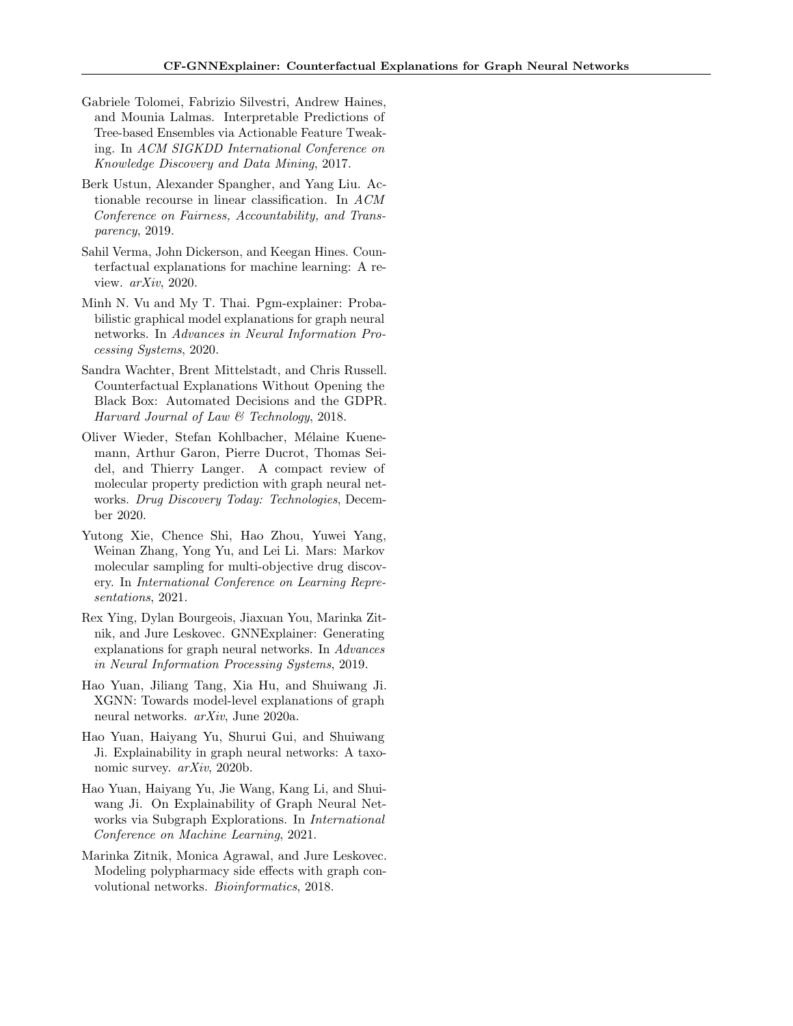- <span id="page-11-10"></span>Gabriele Tolomei, Fabrizio Silvestri, Andrew Haines, and Mounia Lalmas. Interpretable Predictions of Tree-based Ensembles via Actionable Feature Tweaking. In ACM SIGKDD International Conference on Knowledge Discovery and Data Mining, 2017.
- <span id="page-11-0"></span>Berk Ustun, Alexander Spangher, and Yang Liu. Actionable recourse in linear classification. In ACM Conference on Fairness, Accountability, and Transparency, 2019.
- <span id="page-11-8"></span>Sahil Verma, John Dickerson, and Keegan Hines. Counterfactual explanations for machine learning: A review. arXiv, 2020.
- <span id="page-11-5"></span>Minh N. Vu and My T. Thai. Pgm-explainer: Probabilistic graphical model explanations for graph neural networks. In Advances in Neural Information Processing Systems, 2020.
- <span id="page-11-11"></span>Sandra Wachter, Brent Mittelstadt, and Chris Russell. Counterfactual Explanations Without Opening the Black Box: Automated Decisions and the GDPR. Harvard Journal of Law & Technology, 2018.
- <span id="page-11-2"></span>Oliver Wieder, Stefan Kohlbacher, Mélaine Kuenemann, Arthur Garon, Pierre Ducrot, Thomas Seidel, and Thierry Langer. A compact review of molecular property prediction with graph neural networks. Drug Discovery Today: Technologies, December 2020.
- <span id="page-11-1"></span>Yutong Xie, Chence Shi, Hao Zhou, Yuwei Yang, Weinan Zhang, Yong Yu, and Lei Li. Mars: Markov molecular sampling for multi-objective drug discovery. In International Conference on Learning Representations, 2021.
- <span id="page-11-6"></span>Rex Ying, Dylan Bourgeois, Jiaxuan You, Marinka Zitnik, and Jure Leskovec. GNNExplainer: Generating explanations for graph neural networks. In Advances in Neural Information Processing Systems, 2019.
- <span id="page-11-9"></span>Hao Yuan, Jiliang Tang, Xia Hu, and Shuiwang Ji. XGNN: Towards model-level explanations of graph neural networks. arXiv, June 2020a.
- <span id="page-11-4"></span>Hao Yuan, Haiyang Yu, Shurui Gui, and Shuiwang Ji. Explainability in graph neural networks: A taxonomic survey. arXiv, 2020b.
- <span id="page-11-7"></span>Hao Yuan, Haiyang Yu, Jie Wang, Kang Li, and Shuiwang Ji. On Explainability of Graph Neural Networks via Subgraph Explorations. In International Conference on Machine Learning, 2021.
- <span id="page-11-3"></span>Marinka Zitnik, Monica Agrawal, and Jure Leskovec. Modeling polypharmacy side effects with graph convolutional networks. Bioinformatics, 2018.